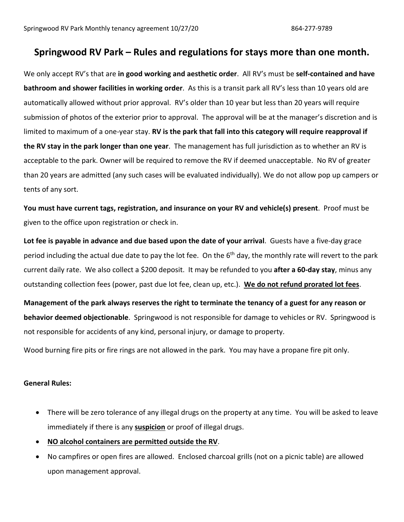## **Springwood RV Park – Rules and regulations for stays more than one month.**

We only accept RV's that are **in good working and aesthetic order**. All RV's must be **self-contained and have bathroom and shower facilities in working order**. As this is a transit park all RV's less than 10 years old are automatically allowed without prior approval. RV's older than 10 year but less than 20 years will require submission of photos of the exterior prior to approval. The approval will be at the manager's discretion and is limited to maximum of a one-year stay. **RV is the park that fall into this category will require reapproval if the RV stay in the park longer than one year**. The management has full jurisdiction as to whether an RV is acceptable to the park. Owner will be required to remove the RV if deemed unacceptable. No RV of greater than 20 years are admitted (any such cases will be evaluated individually). We do not allow pop up campers or tents of any sort.

**You must have current tags, registration, and insurance on your RV and vehicle(s) present**. Proof must be given to the office upon registration or check in.

**Lot fee is payable in advance and due based upon the date of your arrival**. Guests have a five-day grace period including the actual due date to pay the lot fee. On the 6<sup>th</sup> day, the monthly rate will revert to the park current daily rate. We also collect a \$200 deposit. It may be refunded to you **after a 60-day stay**, minus any outstanding collection fees (power, past due lot fee, clean up, etc.). **We do not refund prorated lot fees**.

**Management of the park always reserves the right to terminate the tenancy of a guest for any reason or behavior deemed objectionable**. Springwood is not responsible for damage to vehicles or RV. Springwood is not responsible for accidents of any kind, personal injury, or damage to property.

Wood burning fire pits or fire rings are not allowed in the park. You may have a propane fire pit only.

## **General Rules:**

- There will be zero tolerance of any illegal drugs on the property at any time. You will be asked to leave immediately if there is any **suspicion** or proof of illegal drugs.
- **NO alcohol containers are permitted outside the RV**.
- No campfires or open fires are allowed. Enclosed charcoal grills (not on a picnic table) are allowed upon management approval.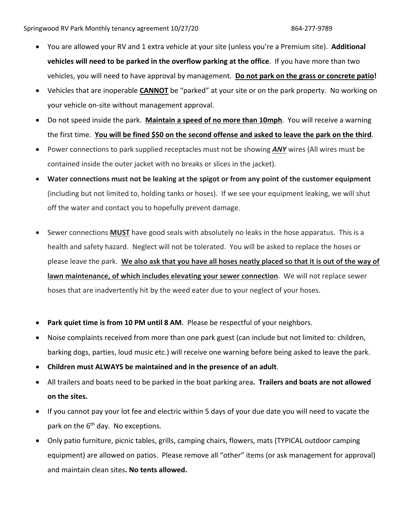- You are allowed your RV and 1 extra vehicle at your site (unless you're a Premium site). **Additional vehicles will need to be parked in the overflow parking at the office**. If you have more than two vehicles, you will need to have approval by management. **Do not park on the grass or concrete patio!**
- Vehicles that are inoperable **CANNOT** be "parked" at your site or on the park property. No working on your vehicle on-site without management approval.
- Do not speed inside the park. **Maintain a speed of no more than 10mph**. You will receive a warning the first time. **You will be fined \$50 on the second offense and asked to leave the park on the third**.
- Power connections to park supplied receptacles must not be showing *ANY* wires (All wires must be contained inside the outer jacket with no breaks or slices in the jacket).
- **Water connections must not be leaking at the spigot or from any point of the customer equipment** (including but not limited to, holding tanks or hoses). If we see your equipment leaking, we will shut off the water and contact you to hopefully prevent damage.
- Sewer connections **MUST** have good seals with absolutely no leaks in the hose apparatus. This is a health and safety hazard. Neglect will not be tolerated. You will be asked to replace the hoses or please leave the park. **We also ask that you have all hoses neatly placed so that it is out of the way of lawn maintenance, of which includes elevating your sewer connection**. We will not replace sewer hoses that are inadvertently hit by the weed eater due to your neglect of your hoses.
- Park quiet time is from 10 PM until 8 AM. Please be respectful of your neighbors.
- Noise complaints received from more than one park guest (can include but not limited to: children, barking dogs, parties, loud music etc.) will receive one warning before being asked to leave the park.
- **Children must ALWAYS be maintained and in the presence of an adult**.
- All trailers and boats need to be parked in the boat parking area**. Trailers and boats are not allowed on the sites.**
- If you cannot pay your lot fee and electric within 5 days of your due date you will need to vacate the park on the  $6<sup>th</sup>$  day. No exceptions.
- Only patio furniture, picnic tables, grills, camping chairs, flowers, mats (TYPICAL outdoor camping equipment) are allowed on patios. Please remove all "other" items (or ask management for approval) and maintain clean sites**. No tents allowed.**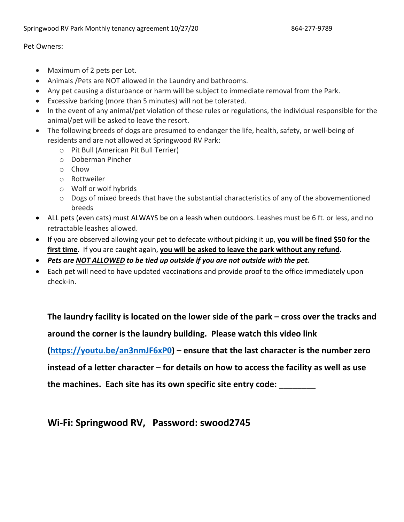## Pet Owners:

- Maximum of 2 pets per Lot.
- Animals /Pets are NOT allowed in the Laundry and bathrooms.
- Any pet causing a disturbance or harm will be subject to immediate removal from the Park.
- Excessive barking (more than 5 minutes) will not be tolerated.
- In the event of any animal/pet violation of these rules or regulations, the individual responsible for the animal/pet will be asked to leave the resort.
- The following breeds of dogs are presumed to endanger the life, health, safety, or well-being of residents and are not allowed at Springwood RV Park:
	- o Pit Bull (American Pit Bull Terrier)
	- o Doberman Pincher
	- o Chow
	- o Rottweiler
	- o Wolf or wolf hybrids
	- $\circ$  Dogs of mixed breeds that have the substantial characteristics of any of the abovementioned breeds
- ALL pets (even cats) must ALWAYS be on a leash when outdoors. Leashes must be 6 ft. or less, and no retractable leashes allowed.
- If you are observed allowing your pet to defecate without picking it up, **you will be fined \$50 for the first time**. If you are caught again, **you will be asked to leave the park without any refund.**
- *Pets are NOT ALLOWED to be tied up outside if you are not outside with the pet.*
- Each pet will need to have updated vaccinations and provide proof to the office immediately upon check-in.

**The laundry facility is located on the lower side of the park – cross over the tracks and around the corner is the laundry building. Please watch this video link (https://youtu.be/an3nmJF6xP0) – ensure that the last character is the number zero instead of a letter character – for details on how to access the facility as well as use the machines. Each site has its own specific site entry code: \_\_\_\_\_\_\_\_**

**Wi-Fi: Springwood RV, Password: swood2745**